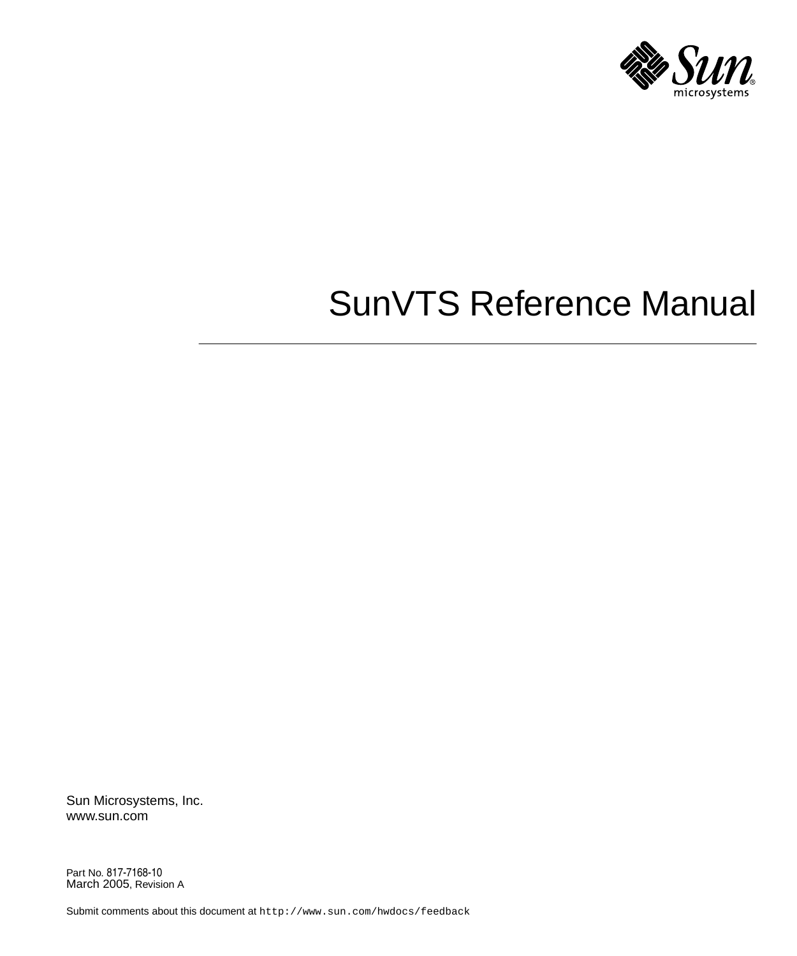

# SunVTS Reference Manual

Sun Microsystems, Inc. www.sun.com

Part No. 817-7168-10 March 2005, Revision A

Submit comments about this document at http://www.sun.com/hwdocs/feedback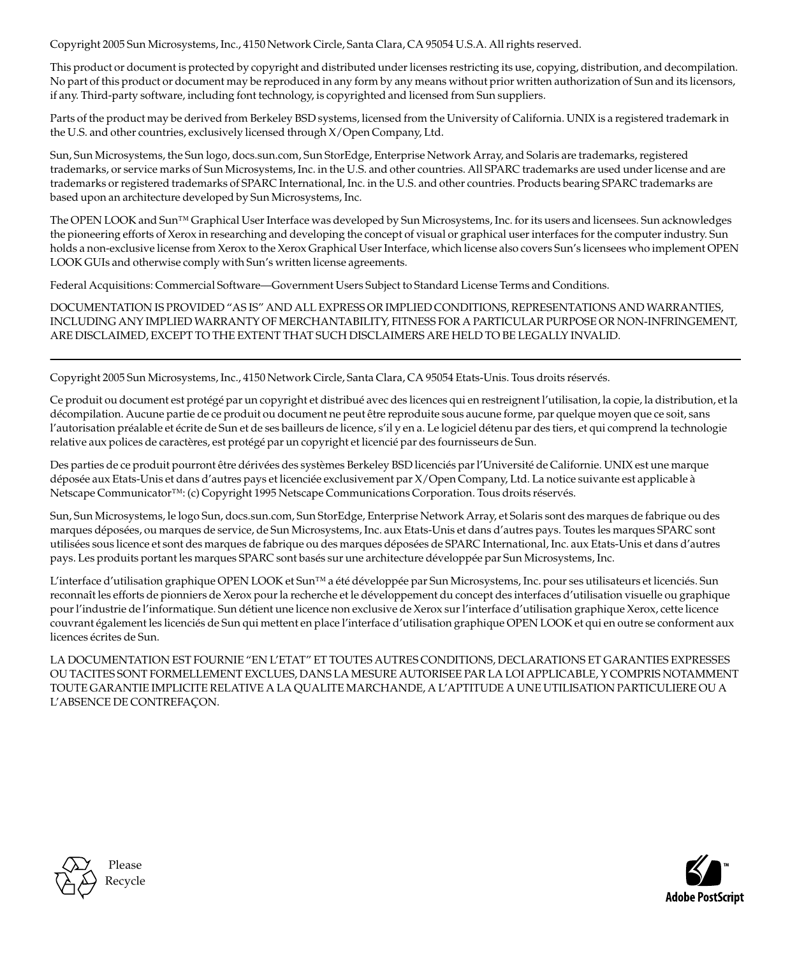Copyright 2005 Sun Microsystems, Inc., 4150 Network Circle, Santa Clara, CA 95054 U.S.A. All rights reserved.

This product or document is protected by copyright and distributed under licenses restricting its use, copying, distribution, and decompilation. No part of this product or document may be reproduced in any form by any means without prior written authorization of Sun and its licensors, if any. Third-party software, including font technology, is copyrighted and licensed from Sun suppliers.

Parts of the product may be derived from Berkeley BSD systems, licensed from the University of California. UNIX is a registered trademark in the U.S. and other countries, exclusively licensed through X/Open Company, Ltd.

Sun, Sun Microsystems, the Sun logo, docs.sun.com, Sun StorEdge, Enterprise Network Array, and Solaris are trademarks, registered trademarks, or service marks of Sun Microsystems, Inc. in the U.S. and other countries. All SPARC trademarks are used under license and are trademarks or registered trademarks of SPARC International, Inc. in the U.S. and other countries. Products bearing SPARC trademarks are based upon an architecture developed by Sun Microsystems, Inc.

The OPEN LOOK and Sun™ Graphical User Interface was developed by Sun Microsystems, Inc. for its users and licensees. Sun acknowledges the pioneering efforts of Xerox in researching and developing the concept of visual or graphical user interfaces for the computer industry. Sun holds a non-exclusive license from Xerox to the Xerox Graphical User Interface, which license also covers Sun's licensees who implement OPEN LOOK GUIs and otherwise comply with Sun's written license agreements.

Federal Acquisitions: Commercial Software—Government Users Subject to Standard License Terms and Conditions.

DOCUMENTATION IS PROVIDED "AS IS" AND ALL EXPRESS OR IMPLIED CONDITIONS, REPRESENTATIONS AND WARRANTIES, INCLUDING ANY IMPLIED WARRANTY OF MERCHANTABILITY, FITNESS FOR A PARTICULAR PURPOSE OR NON-INFRINGEMENT, ARE DISCLAIMED, EXCEPT TO THE EXTENT THAT SUCH DISCLAIMERS ARE HELD TO BE LEGALLY INVALID.

Copyright 2005 Sun Microsystems, Inc., 4150 Network Circle, Santa Clara, CA 95054 Etats-Unis. Tous droits réservés.

Ce produit ou document est protégé par un copyright et distribué avec des licences qui en restreignent l'utilisation, la copie, la distribution, et la décompilation. Aucune partie de ce produit ou document ne peut être reproduite sous aucune forme, par quelque moyen que ce soit, sans l'autorisation préalable et écrite de Sun et de ses bailleurs de licence, s'il y en a. Le logiciel détenu par des tiers, et qui comprend la technologie relative aux polices de caractères, est protégé par un copyright et licencié par des fournisseurs de Sun.

Des parties de ce produit pourront être dérivées des systèmes Berkeley BSD licenciés par l'Université de Californie. UNIX est une marque déposée aux Etats-Unis et dans d'autres pays et licenciée exclusivement par X/Open Company, Ltd. La notice suivante est applicable à Netscape Communicator™: (c) Copyright 1995 Netscape Communications Corporation. Tous droits réservés.

Sun, Sun Microsystems, le logo Sun, docs.sun.com, Sun StorEdge, Enterprise Network Array, et Solaris sont des marques de fabrique ou des marques déposées, ou marques de service, de Sun Microsystems, Inc. aux Etats-Unis et dans d'autres pays. Toutes les marques SPARC sont utilisées sous licence et sont des marques de fabrique ou des marques déposées de SPARC International, Inc. aux Etats-Unis et dans d'autres pays. Les produits portant les marques SPARC sont basés sur une architecture développée par Sun Microsystems, Inc.

L'interface d'utilisation graphique OPEN LOOK et Sun™ a été développée par Sun Microsystems, Inc. pour ses utilisateurs et licenciés. Sun reconnaît les efforts de pionniers de Xerox pour la recherche et le développement du concept des interfaces d'utilisation visuelle ou graphique pour l'industrie de l'informatique. Sun détient une licence non exclusive de Xerox sur l'interface d'utilisation graphique Xerox, cette licence couvrant également les licenciés de Sun qui mettent en place l'interface d'utilisation graphique OPEN LOOK et qui en outre se conforment aux licences écrites de Sun.

LA DOCUMENTATION EST FOURNIE "EN L'ETAT" ET TOUTES AUTRES CONDITIONS, DECLARATIONS ET GARANTIES EXPRESSES OU TACITES SONT FORMELLEMENT EXCLUES, DANS LA MESURE AUTORISEE PAR LA LOI APPLICABLE, Y COMPRIS NOTAMMENT TOUTE GARANTIE IMPLICITE RELATIVE A LA QUALITE MARCHANDE, A L'APTITUDE A UNE UTILISATION PARTICULIERE OU A L'ABSENCE DE CONTREFAÇON.



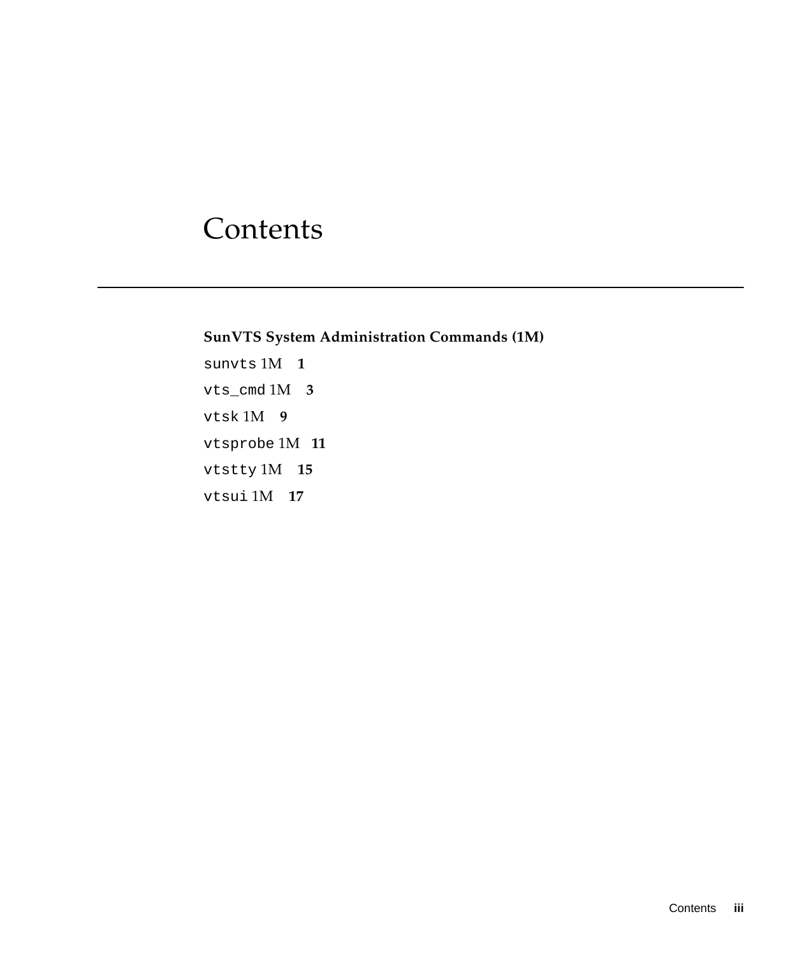#### **Contents**

**SunVTS System Administration Commands (1M)**

sunvts 1M **1** vts\_cmd 1M **3** vtsk 1M **9** vtsprobe 1M **11** vtstty 1M **15** vtsui 1M **17**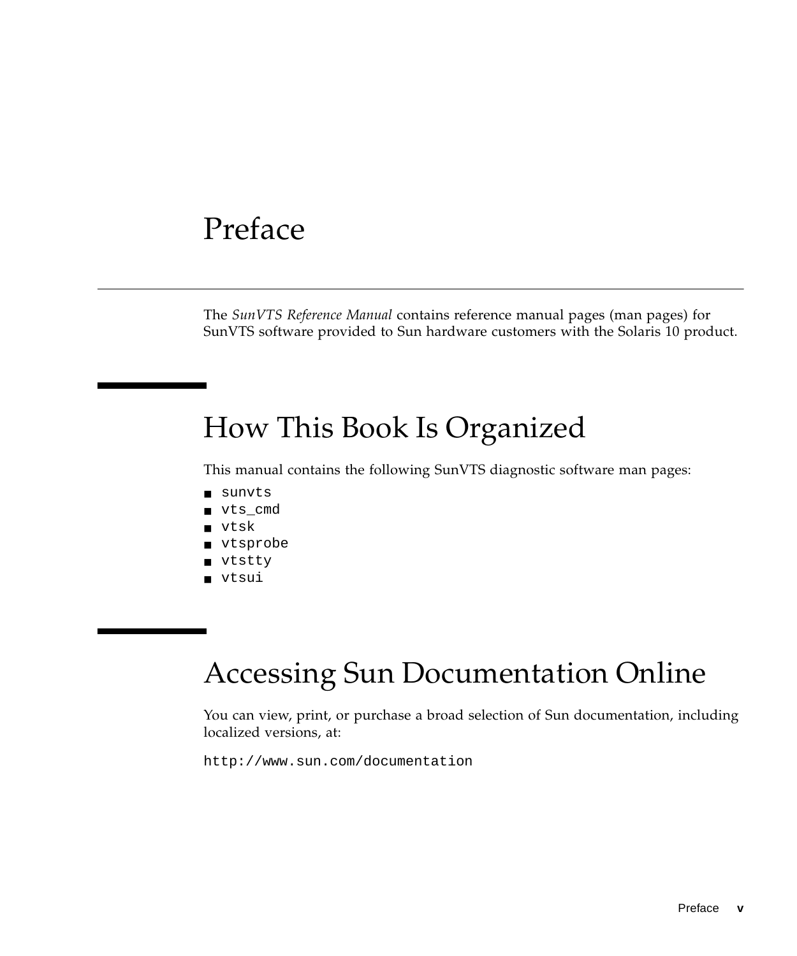### Preface

The *SunVTS Reference Manual* contains reference manual pages (man pages) for SunVTS software provided to Sun hardware customers with the Solaris 10 product.

### How This Book Is Organized

This manual contains the following SunVTS diagnostic software man pages:

- sunvts
- vts\_cmd
- vtsk
- vtsprobe
- vtstty
- vtsui

## Accessing Sun Documentation Online

You can view, print, or purchase a broad selection of Sun documentation, including localized versions, at:

http://www.sun.com/documentation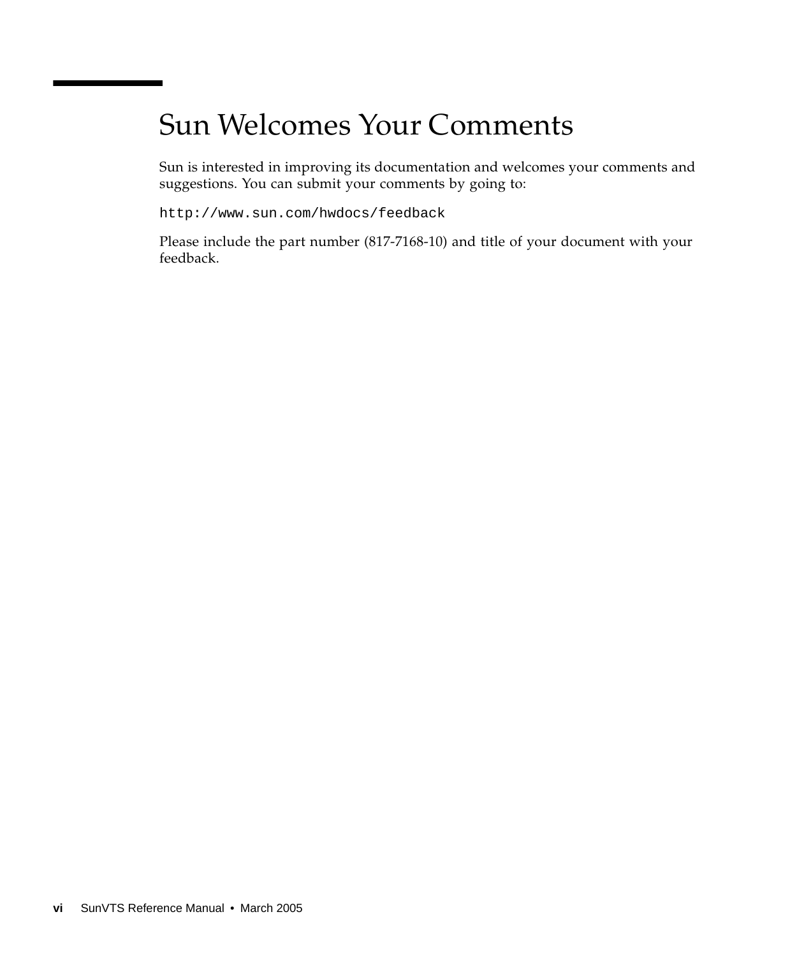## Sun Welcomes Your Comments

Sun is interested in improving its documentation and welcomes your comments and suggestions. You can submit your comments by going to:

http://www.sun.com/hwdocs/feedback

Please include the part number (817-7168-10) and title of your document with your feedback.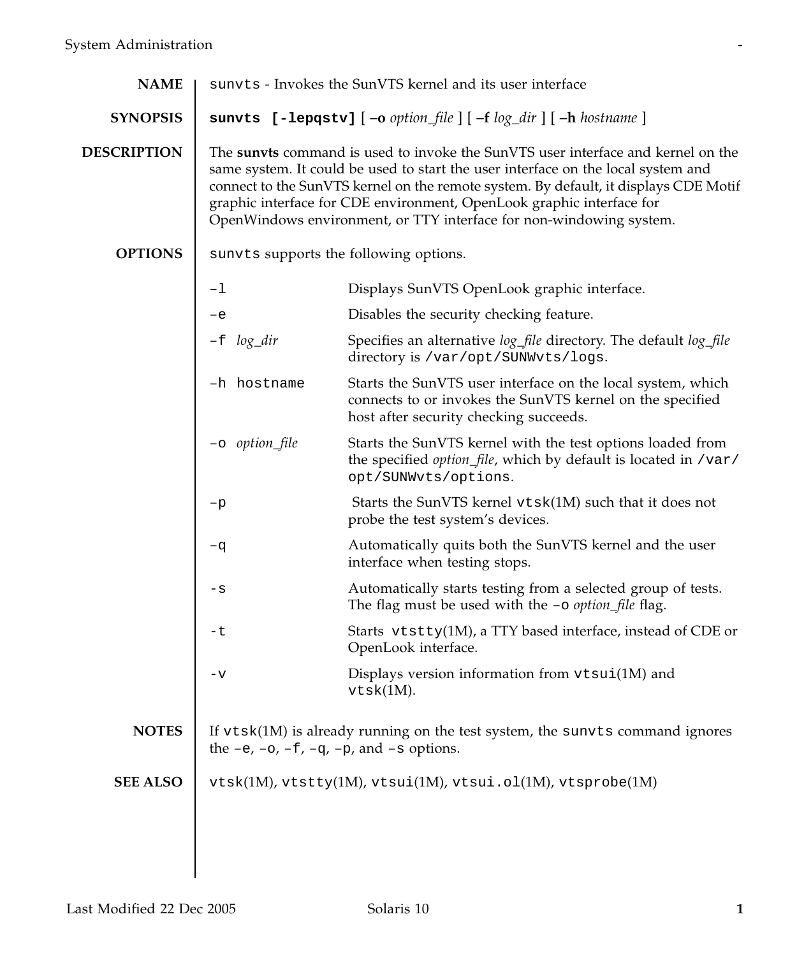| <b>NAME</b>        | sunvts - Invokes the SunVTS kernel and its user interface                                                                                                                                                                                                                                                                                                                                                     |                                                                                                                                                                    |  |
|--------------------|---------------------------------------------------------------------------------------------------------------------------------------------------------------------------------------------------------------------------------------------------------------------------------------------------------------------------------------------------------------------------------------------------------------|--------------------------------------------------------------------------------------------------------------------------------------------------------------------|--|
| <b>SYNOPSIS</b>    | sunvts [-lepqstv] $[-\text{o option}\_file]$ $[-\text{f log}\_dir]$ $[-\text{h}$ hostname]                                                                                                                                                                                                                                                                                                                    |                                                                                                                                                                    |  |
| <b>DESCRIPTION</b> | The sunvts command is used to invoke the SunVTS user interface and kernel on the<br>same system. It could be used to start the user interface on the local system and<br>connect to the SunVTS kernel on the remote system. By default, it displays CDE Motif<br>graphic interface for CDE environment, OpenLook graphic interface for<br>OpenWindows environment, or TTY interface for non-windowing system. |                                                                                                                                                                    |  |
| <b>OPTIONS</b>     | sunvts supports the following options.                                                                                                                                                                                                                                                                                                                                                                        |                                                                                                                                                                    |  |
|                    | -1                                                                                                                                                                                                                                                                                                                                                                                                            | Displays SunVTS OpenLook graphic interface.                                                                                                                        |  |
|                    | $-e$                                                                                                                                                                                                                                                                                                                                                                                                          | Disables the security checking feature.                                                                                                                            |  |
|                    | $-f \log\_dir$                                                                                                                                                                                                                                                                                                                                                                                                | Specifies an alternative log_file directory. The default log_file<br>directory is /var/opt/SUNWvts/logs.                                                           |  |
|                    | -h hostname                                                                                                                                                                                                                                                                                                                                                                                                   | Starts the SunVTS user interface on the local system, which<br>connects to or invokes the SunVTS kernel on the specified<br>host after security checking succeeds. |  |
|                    | -0 option_file                                                                                                                                                                                                                                                                                                                                                                                                | Starts the SunVTS kernel with the test options loaded from<br>the specified option_file, which by default is located in /var/<br>opt/SUNWvts/options.              |  |
|                    | -p                                                                                                                                                                                                                                                                                                                                                                                                            | Starts the SunVTS kernel vtsk(1M) such that it does not<br>probe the test system's devices.                                                                        |  |
|                    | -q                                                                                                                                                                                                                                                                                                                                                                                                            | Automatically quits both the SunVTS kernel and the user<br>interface when testing stops.                                                                           |  |
|                    | $-\mathbf{s}$                                                                                                                                                                                                                                                                                                                                                                                                 | Automatically starts testing from a selected group of tests.<br>The flag must be used with the $-\circ$ option file flag.                                          |  |
|                    | -t                                                                                                                                                                                                                                                                                                                                                                                                            | Starts vtstty(1M), a TTY based interface, instead of CDE or<br>OpenLook interface.                                                                                 |  |
|                    | $-v$                                                                                                                                                                                                                                                                                                                                                                                                          | Displays version information from vtsui(1M) and<br>$v$ tsk $(1M)$ .                                                                                                |  |
| <b>NOTES</b>       | If vtsk(1M) is already running on the test system, the sunvts command ignores<br>the $-e$ , $-o$ , $-f$ , $-q$ , $-p$ , and $-s$ options.                                                                                                                                                                                                                                                                     |                                                                                                                                                                    |  |
| <b>SEE ALSO</b>    |                                                                                                                                                                                                                                                                                                                                                                                                               | $vtsk(1M)$ , $vtstty(1M)$ , $vtsui(1M)$ , $vtsui.ol(1M)$ , $vtsprobe(1M)$                                                                                          |  |
|                    |                                                                                                                                                                                                                                                                                                                                                                                                               |                                                                                                                                                                    |  |
|                    |                                                                                                                                                                                                                                                                                                                                                                                                               |                                                                                                                                                                    |  |
|                    |                                                                                                                                                                                                                                                                                                                                                                                                               |                                                                                                                                                                    |  |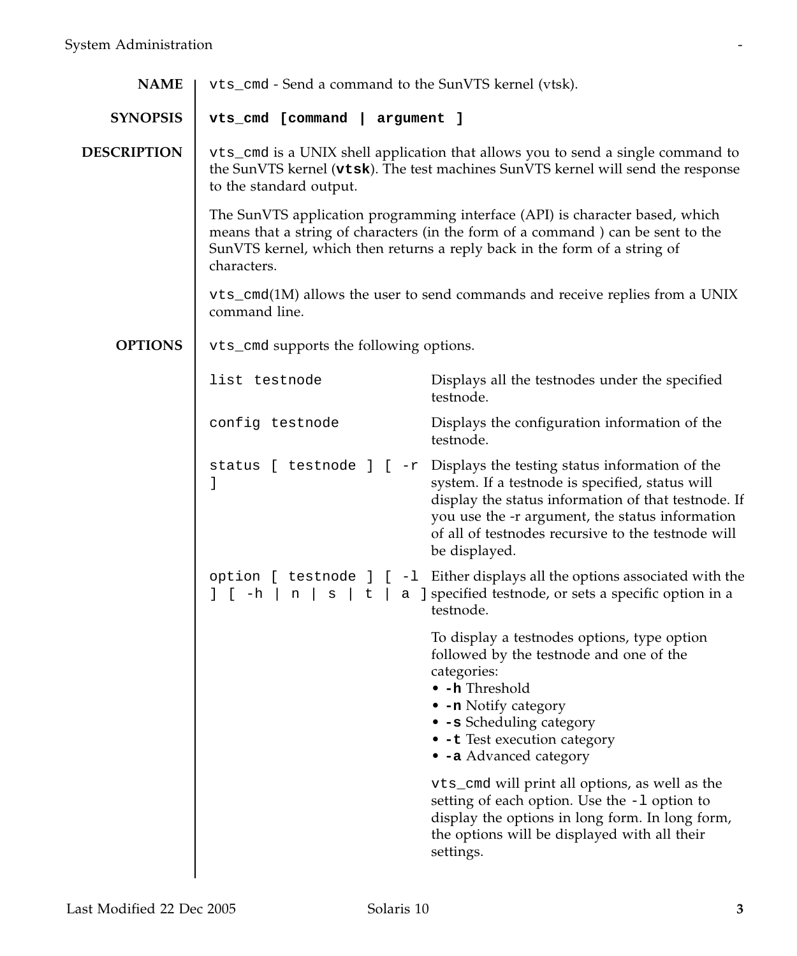| <b>NAME</b>        | vts_cmd - Send a command to the SunVTS kernel (vtsk). |                                                                                                                                                                                                                                                                                                               |
|--------------------|-------------------------------------------------------|---------------------------------------------------------------------------------------------------------------------------------------------------------------------------------------------------------------------------------------------------------------------------------------------------------------|
| <b>SYNOPSIS</b>    | vts_cmd [command   argument ]                         |                                                                                                                                                                                                                                                                                                               |
| <b>DESCRIPTION</b> | to the standard output.                               | vts_cmd is a UNIX shell application that allows you to send a single command to<br>the SunVTS kernel (vtsk). The test machines SunVTS kernel will send the response                                                                                                                                           |
|                    | characters.                                           | The SunVTS application programming interface (API) is character based, which<br>means that a string of characters (in the form of a command) can be sent to the<br>SunVTS kernel, which then returns a reply back in the form of a string of                                                                  |
|                    | command line.                                         | vts_cmd(1M) allows the user to send commands and receive replies from a UNIX                                                                                                                                                                                                                                  |
| <b>OPTIONS</b>     | vts_cmd supports the following options.               |                                                                                                                                                                                                                                                                                                               |
|                    | list testnode                                         | Displays all the testnodes under the specified<br>testnode.                                                                                                                                                                                                                                                   |
|                    | config testnode                                       | Displays the configuration information of the<br>testnode.                                                                                                                                                                                                                                                    |
|                    | 1                                                     | status [ testnode ] $[-r]$ Displays the testing status information of the<br>system. If a testnode is specified, status will<br>display the status information of that testnode. If<br>you use the -r argument, the status information<br>of all of testnodes recursive to the testnode will<br>be displayed. |
|                    | $\lfloor -h \rfloor$ n<br>$s \mid t \mid$             | option [ testnode ] [ -1 Either displays all the options associated with the<br>a ] specified testnode, or sets a specific option in a<br>testnode.                                                                                                                                                           |
|                    |                                                       | To display a testnodes options, type option<br>followed by the testnode and one of the<br>categories:<br>• -h Threshold<br>• -n Notify category<br>• -s Scheduling category<br>• -t Test execution category<br>• - a Advanced category                                                                        |
|                    |                                                       | vts_cmd will print all options, as well as the<br>setting of each option. Use the -1 option to<br>display the options in long form. In long form,<br>the options will be displayed with all their<br>settings.                                                                                                |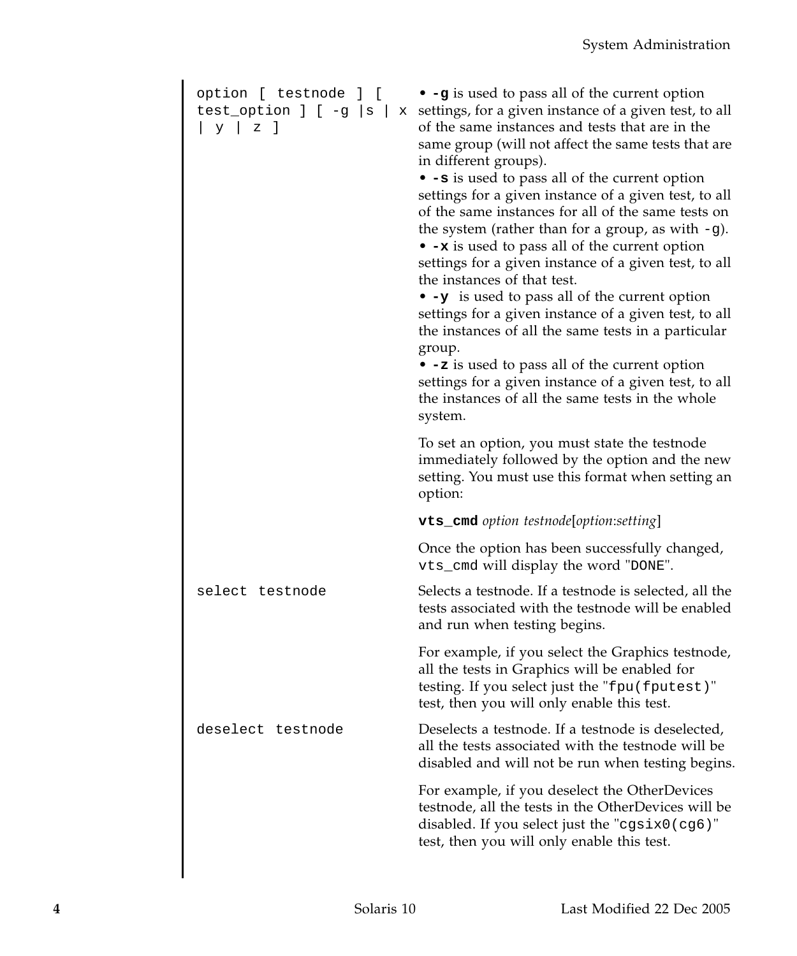| option [ testnode ] [<br>test_option $ $ $[-g   s  ]$<br>$Y \mid z \mid$ | • -g is used to pass all of the current option<br>x settings, for a given instance of a given test, to all<br>of the same instances and tests that are in the<br>same group (will not affect the same tests that are<br>in different groups).<br>• -s is used to pass all of the current option<br>settings for a given instance of a given test, to all<br>of the same instances for all of the same tests on<br>the system (rather than for a group, as with $-g$ ).<br>• -x is used to pass all of the current option<br>settings for a given instance of a given test, to all<br>the instances of that test.<br>• -y is used to pass all of the current option<br>settings for a given instance of a given test, to all<br>the instances of all the same tests in a particular<br>group.<br>• -z is used to pass all of the current option<br>settings for a given instance of a given test, to all<br>the instances of all the same tests in the whole<br>system. |
|--------------------------------------------------------------------------|------------------------------------------------------------------------------------------------------------------------------------------------------------------------------------------------------------------------------------------------------------------------------------------------------------------------------------------------------------------------------------------------------------------------------------------------------------------------------------------------------------------------------------------------------------------------------------------------------------------------------------------------------------------------------------------------------------------------------------------------------------------------------------------------------------------------------------------------------------------------------------------------------------------------------------------------------------------------|
|                                                                          | To set an option, you must state the testnode<br>immediately followed by the option and the new<br>setting. You must use this format when setting an<br>option:                                                                                                                                                                                                                                                                                                                                                                                                                                                                                                                                                                                                                                                                                                                                                                                                        |
|                                                                          | vts_cmd option testnode[option:setting]                                                                                                                                                                                                                                                                                                                                                                                                                                                                                                                                                                                                                                                                                                                                                                                                                                                                                                                                |
|                                                                          | Once the option has been successfully changed,<br>vts_cmd will display the word "DONE".                                                                                                                                                                                                                                                                                                                                                                                                                                                                                                                                                                                                                                                                                                                                                                                                                                                                                |
| select testnode                                                          | Selects a testnode. If a testnode is selected, all the<br>tests associated with the testnode will be enabled<br>and run when testing begins.                                                                                                                                                                                                                                                                                                                                                                                                                                                                                                                                                                                                                                                                                                                                                                                                                           |
|                                                                          | For example, if you select the Graphics testnode,<br>all the tests in Graphics will be enabled for<br>testing. If you select just the "fpu(fputest)"<br>test, then you will only enable this test.                                                                                                                                                                                                                                                                                                                                                                                                                                                                                                                                                                                                                                                                                                                                                                     |
| deselect testnode                                                        | Deselects a testnode. If a testnode is deselected,<br>all the tests associated with the testnode will be<br>disabled and will not be run when testing begins.                                                                                                                                                                                                                                                                                                                                                                                                                                                                                                                                                                                                                                                                                                                                                                                                          |
|                                                                          | For example, if you deselect the OtherDevices<br>testnode, all the tests in the OtherDevices will be<br>disabled. If you select just the "cgsix0(cg6)"<br>test, then you will only enable this test.                                                                                                                                                                                                                                                                                                                                                                                                                                                                                                                                                                                                                                                                                                                                                                   |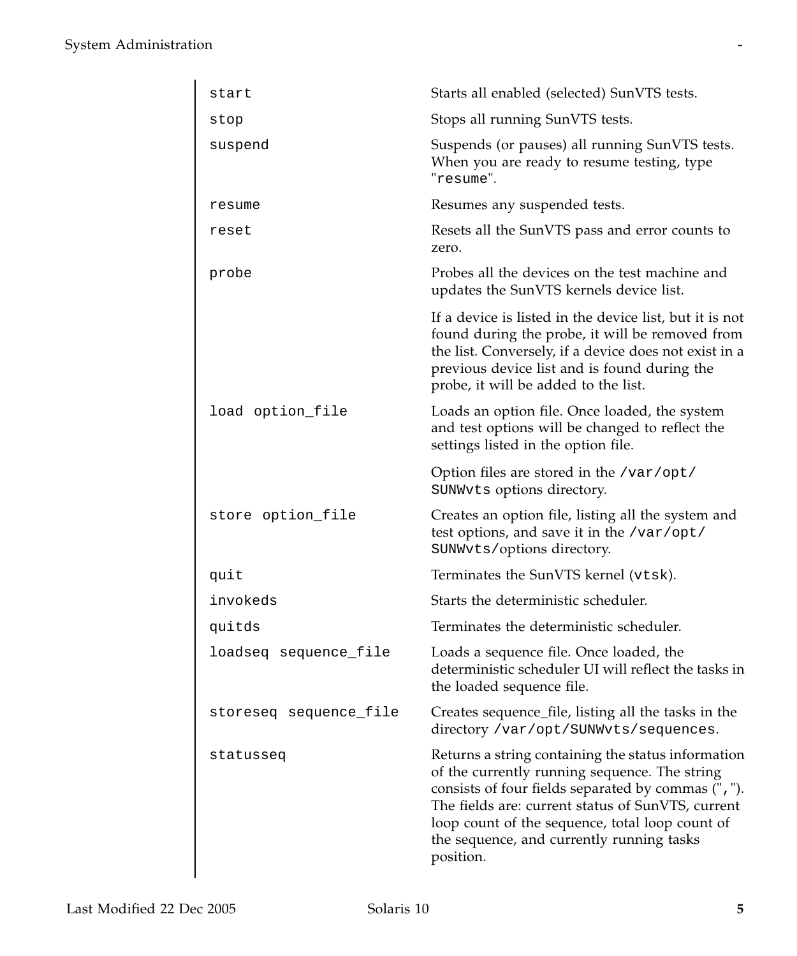| start                  | Starts all enabled (selected) SunVTS tests.                                                                                                                                                                                                                                                                                  |
|------------------------|------------------------------------------------------------------------------------------------------------------------------------------------------------------------------------------------------------------------------------------------------------------------------------------------------------------------------|
| stop                   | Stops all running SunVTS tests.                                                                                                                                                                                                                                                                                              |
| suspend                | Suspends (or pauses) all running SunVTS tests.<br>When you are ready to resume testing, type<br>"resume".                                                                                                                                                                                                                    |
| resume                 | Resumes any suspended tests.                                                                                                                                                                                                                                                                                                 |
| reset                  | Resets all the SunVTS pass and error counts to<br>zero.                                                                                                                                                                                                                                                                      |
| probe                  | Probes all the devices on the test machine and<br>updates the SunVTS kernels device list.                                                                                                                                                                                                                                    |
|                        | If a device is listed in the device list, but it is not<br>found during the probe, it will be removed from<br>the list. Conversely, if a device does not exist in a<br>previous device list and is found during the<br>probe, it will be added to the list.                                                                  |
| load option_file       | Loads an option file. Once loaded, the system<br>and test options will be changed to reflect the<br>settings listed in the option file.                                                                                                                                                                                      |
|                        | Option files are stored in the /var/opt/<br>SUNWvts options directory.                                                                                                                                                                                                                                                       |
| store option_file      | Creates an option file, listing all the system and<br>test options, and save it in the /var/opt/<br>SUNWvts/options directory.                                                                                                                                                                                               |
| quit                   | Terminates the SunVTS kernel (vtsk).                                                                                                                                                                                                                                                                                         |
| invokeds               | Starts the deterministic scheduler.                                                                                                                                                                                                                                                                                          |
| quitds                 | Terminates the deterministic scheduler.                                                                                                                                                                                                                                                                                      |
| loadseq sequence_file  | Loads a sequence file. Once loaded, the<br>deterministic scheduler UI will reflect the tasks in<br>the loaded sequence file.                                                                                                                                                                                                 |
| storeseq sequence_file | Creates sequence_file, listing all the tasks in the<br>directory /var/opt/SUNWvts/sequences.                                                                                                                                                                                                                                 |
| statusseq              | Returns a string containing the status information<br>of the currently running sequence. The string<br>consists of four fields separated by commas (", ").<br>The fields are: current status of SunVTS, current<br>loop count of the sequence, total loop count of<br>the sequence, and currently running tasks<br>position. |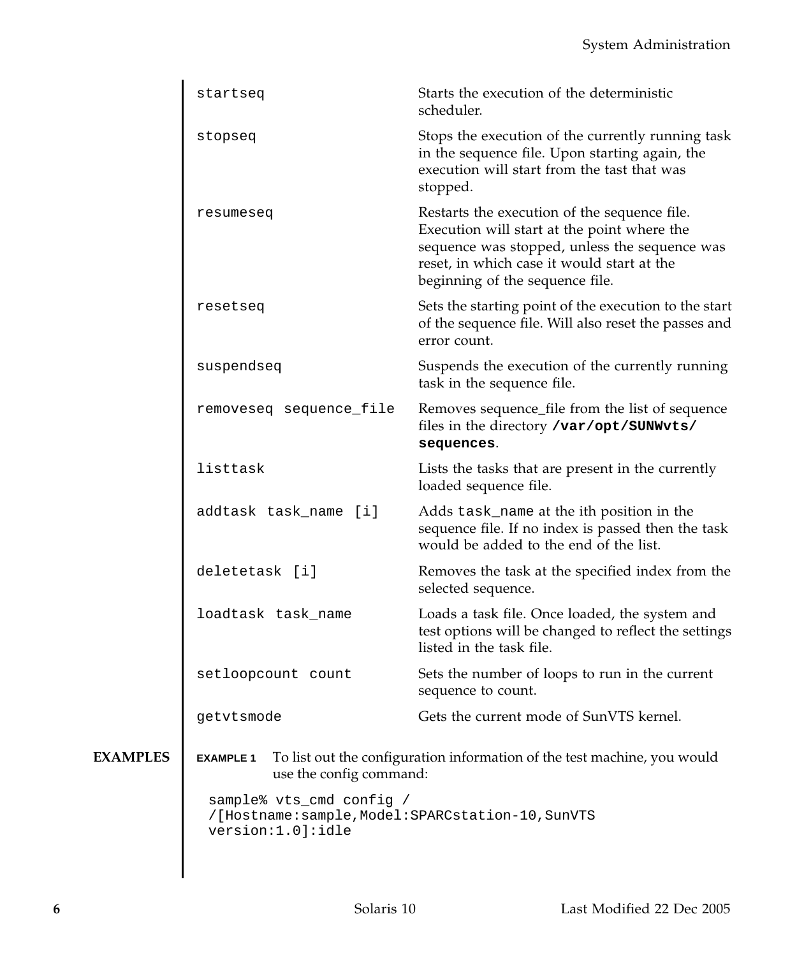|                 | startseq                                                                                        | Starts the execution of the deterministic<br>scheduler.                                                                                                                                                                       |
|-----------------|-------------------------------------------------------------------------------------------------|-------------------------------------------------------------------------------------------------------------------------------------------------------------------------------------------------------------------------------|
|                 | stopseq                                                                                         | Stops the execution of the currently running task<br>in the sequence file. Upon starting again, the<br>execution will start from the tast that was<br>stopped.                                                                |
|                 | resumeseq                                                                                       | Restarts the execution of the sequence file.<br>Execution will start at the point where the<br>sequence was stopped, unless the sequence was<br>reset, in which case it would start at the<br>beginning of the sequence file. |
|                 | resetseq                                                                                        | Sets the starting point of the execution to the start<br>of the sequence file. Will also reset the passes and<br>error count.                                                                                                 |
|                 | suspendseq                                                                                      | Suspends the execution of the currently running<br>task in the sequence file.                                                                                                                                                 |
|                 | removeseq sequence_file                                                                         | Removes sequence_file from the list of sequence<br>files in the directory /var/opt/SUNWvts/<br>sequences.                                                                                                                     |
|                 | listtask                                                                                        | Lists the tasks that are present in the currently<br>loaded sequence file.                                                                                                                                                    |
|                 | addtask task_name [i]                                                                           | Adds task_name at the ith position in the<br>sequence file. If no index is passed then the task<br>would be added to the end of the list.                                                                                     |
|                 | deletetask [i]                                                                                  | Removes the task at the specified index from the<br>selected sequence.                                                                                                                                                        |
|                 | loadtask task_name                                                                              | Loads a task file. Once loaded, the system and<br>test options will be changed to reflect the settings<br>listed in the task file.                                                                                            |
|                 | setloopcount count                                                                              | Sets the number of loops to run in the current<br>sequence to count.                                                                                                                                                          |
|                 | getvtsmode                                                                                      | Gets the current mode of SunVTS kernel.                                                                                                                                                                                       |
| <b>EXAMPLES</b> | <b>EXAMPLE 1</b><br>use the config command:                                                     | To list out the configuration information of the test machine, you would                                                                                                                                                      |
|                 | sample% vts_cmd config /<br>/[Hostname:sample,Model:SPARCstation-10,SunVTS<br>version:1.0]:idle |                                                                                                                                                                                                                               |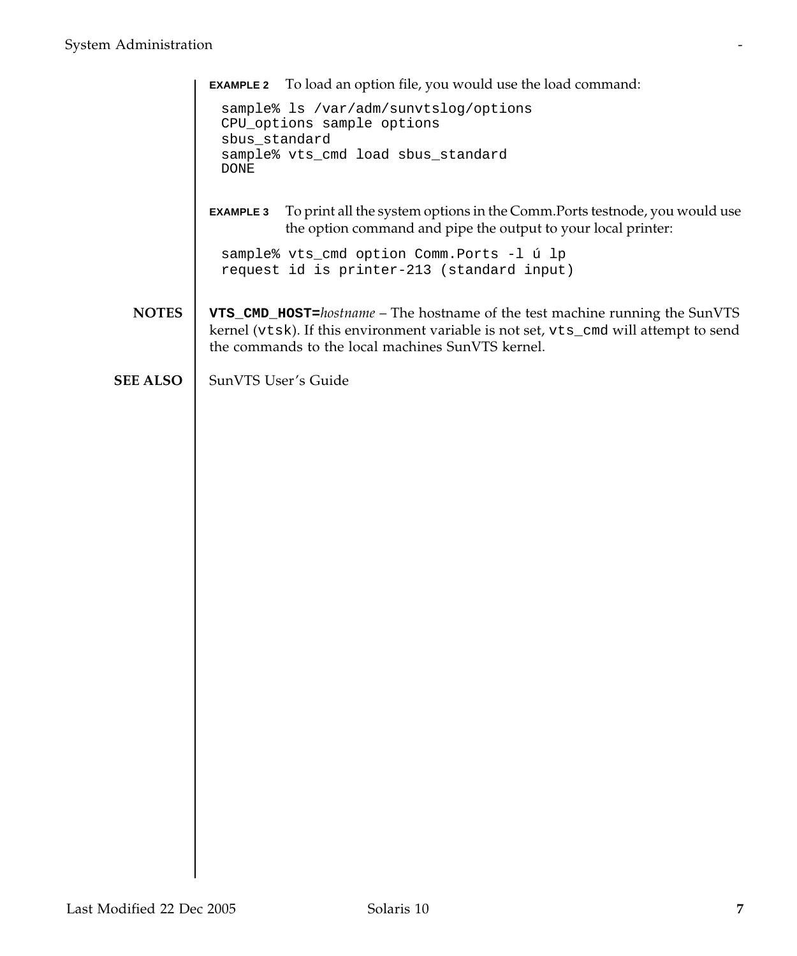**EXAMPLE 2** To load an option file, you would use the load command: **EXAMPLE 3** To print all the system options in the Comm.Ports testnode, you would use the option command and pipe the output to your local printer: **NOTES VTS\_CMD\_HOST=***hostname* – The hostname of the test machine running the SunVTS kernel (vtsk). If this environment variable is not set, vts\_cmd will attempt to send the commands to the local machines SunVTS kernel. **SEE ALSO** | SunVTS User's Guide sample% ls /var/adm/sunvtslog/options CPU\_options sample options sbus\_standard sample% vts\_cmd load sbus\_standard DONE sample% vts\_cmd option Comm.Ports -l ú lp request id is printer-213 (standard input)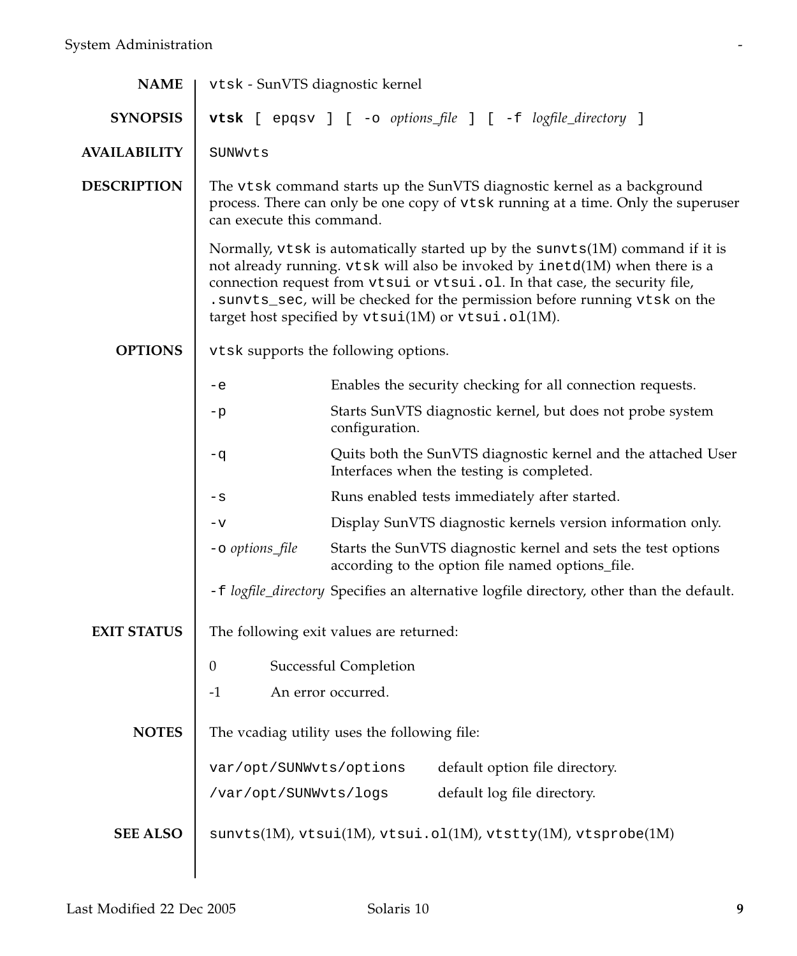| <b>NAME</b>        | vtsk - SunVTS diagnostic kernel                                                                                                                                                           |                       |                                                                                                                                                                                                                                                                                                                                                                                                   |
|--------------------|-------------------------------------------------------------------------------------------------------------------------------------------------------------------------------------------|-----------------------|---------------------------------------------------------------------------------------------------------------------------------------------------------------------------------------------------------------------------------------------------------------------------------------------------------------------------------------------------------------------------------------------------|
| <b>SYNOPSIS</b>    | vtsk [ epqsv ] [ -o options_file ] [ -f logfile_directory ]                                                                                                                               |                       |                                                                                                                                                                                                                                                                                                                                                                                                   |
| AVAILABILITY       | SUNWvts                                                                                                                                                                                   |                       |                                                                                                                                                                                                                                                                                                                                                                                                   |
| <b>DESCRIPTION</b> | The vtsk command starts up the SunVTS diagnostic kernel as a background<br>process. There can only be one copy of vtsk running at a time. Only the superuser<br>can execute this command. |                       |                                                                                                                                                                                                                                                                                                                                                                                                   |
|                    |                                                                                                                                                                                           |                       | Normally, $v$ tsk is automatically started up by the sun $v$ ts( $1M$ ) command if it is<br>not already running. vtsk will also be invoked by inetd(1M) when there is a<br>connection request from vtsui or vtsui.ol. In that case, the security file,<br>. sunvts_sec, will be checked for the permission before running vtsk on the<br>target host specified by $vtsui(1M)$ or $vtsui.ol(1M)$ . |
| <b>OPTIONS</b>     | vtsk supports the following options.                                                                                                                                                      |                       |                                                                                                                                                                                                                                                                                                                                                                                                   |
|                    | $-e$                                                                                                                                                                                      |                       | Enables the security checking for all connection requests.                                                                                                                                                                                                                                                                                                                                        |
|                    | -p                                                                                                                                                                                        | configuration.        | Starts SunVTS diagnostic kernel, but does not probe system                                                                                                                                                                                                                                                                                                                                        |
|                    | -q                                                                                                                                                                                        |                       | Quits both the SunVTS diagnostic kernel and the attached User<br>Interfaces when the testing is completed.                                                                                                                                                                                                                                                                                        |
|                    | $-\mathbf{s}$                                                                                                                                                                             |                       | Runs enabled tests immediately after started.                                                                                                                                                                                                                                                                                                                                                     |
|                    | $-\mathbf{v}$                                                                                                                                                                             |                       | Display SunVTS diagnostic kernels version information only.                                                                                                                                                                                                                                                                                                                                       |
|                    | -0 options_file                                                                                                                                                                           |                       | Starts the SunVTS diagnostic kernel and sets the test options<br>according to the option file named options_file.                                                                                                                                                                                                                                                                                 |
|                    |                                                                                                                                                                                           |                       | -f logfile_directory Specifies an alternative logfile directory, other than the default.                                                                                                                                                                                                                                                                                                          |
| <b>EXIT STATUS</b> | The following exit values are returned:                                                                                                                                                   |                       |                                                                                                                                                                                                                                                                                                                                                                                                   |
|                    | 0                                                                                                                                                                                         | Successful Completion |                                                                                                                                                                                                                                                                                                                                                                                                   |
|                    | -1                                                                                                                                                                                        | An error occurred.    |                                                                                                                                                                                                                                                                                                                                                                                                   |
| <b>NOTES</b>       | The vcadiag utility uses the following file:                                                                                                                                              |                       |                                                                                                                                                                                                                                                                                                                                                                                                   |
|                    | var/opt/SUNWvts/options                                                                                                                                                                   |                       | default option file directory.                                                                                                                                                                                                                                                                                                                                                                    |
|                    | /var/opt/SUNWvts/logs                                                                                                                                                                     |                       | default log file directory.                                                                                                                                                                                                                                                                                                                                                                       |
| <b>SEE ALSO</b>    |                                                                                                                                                                                           |                       | $suncts(1M)$ , vtsui(1M), vtsui.ol(1M), vtstty(1M), vtsprobe(1M)                                                                                                                                                                                                                                                                                                                                  |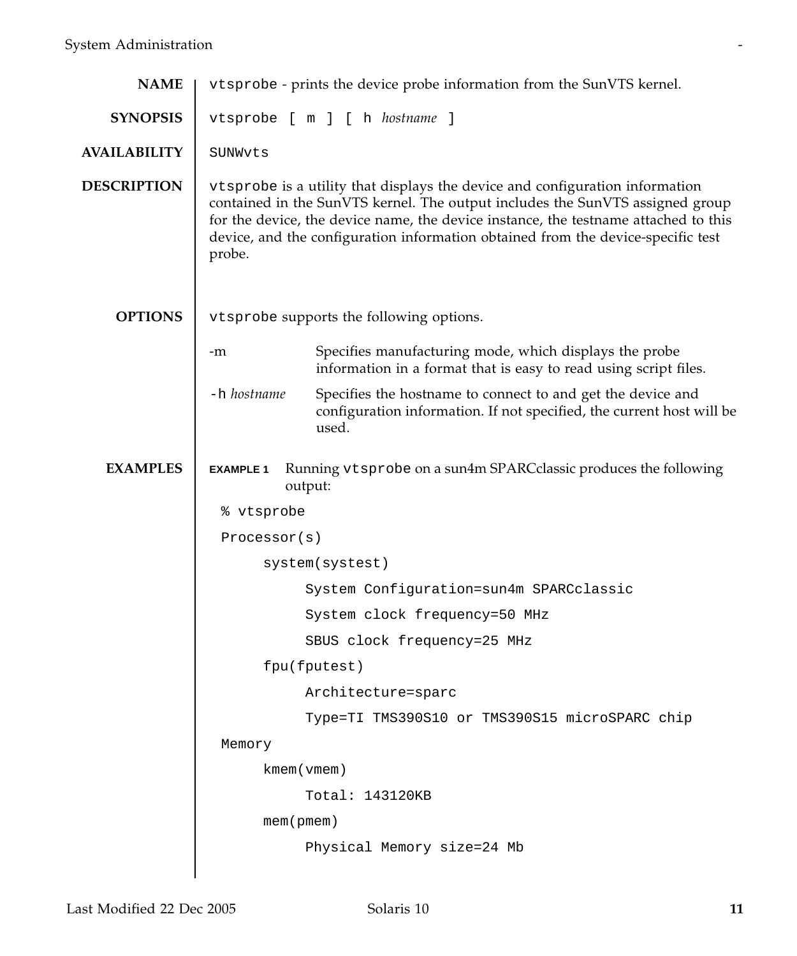| <b>NAME</b>        | vtsprobe - prints the device probe information from the SunVTS kernel.                                                                                                                                                                                                                                                                             |                                                                                                                                               |  |
|--------------------|----------------------------------------------------------------------------------------------------------------------------------------------------------------------------------------------------------------------------------------------------------------------------------------------------------------------------------------------------|-----------------------------------------------------------------------------------------------------------------------------------------------|--|
| <b>SYNOPSIS</b>    | vtsprobe [ m ] [ h hostname ]                                                                                                                                                                                                                                                                                                                      |                                                                                                                                               |  |
| AVAILABILITY       | SUNWvts                                                                                                                                                                                                                                                                                                                                            |                                                                                                                                               |  |
| <b>DESCRIPTION</b> | vtsprobe is a utility that displays the device and configuration information<br>contained in the SunVTS kernel. The output includes the SunVTS assigned group<br>for the device, the device name, the device instance, the testname attached to this<br>device, and the configuration information obtained from the device-specific test<br>probe. |                                                                                                                                               |  |
| <b>OPTIONS</b>     | vtsprobe supports the following options.                                                                                                                                                                                                                                                                                                           |                                                                                                                                               |  |
|                    | -m                                                                                                                                                                                                                                                                                                                                                 | Specifies manufacturing mode, which displays the probe<br>information in a format that is easy to read using script files.                    |  |
|                    | -h hostname                                                                                                                                                                                                                                                                                                                                        | Specifies the hostname to connect to and get the device and<br>configuration information. If not specified, the current host will be<br>used. |  |
| <b>EXAMPLES</b>    | <b>EXAMPLE 1</b>                                                                                                                                                                                                                                                                                                                                   | Running vtsprobe on a sun4m SPARC classic produces the following<br>output:                                                                   |  |
|                    | % vtsprobe                                                                                                                                                                                                                                                                                                                                         |                                                                                                                                               |  |
|                    | Processor(s)                                                                                                                                                                                                                                                                                                                                       |                                                                                                                                               |  |
|                    | system(systest)                                                                                                                                                                                                                                                                                                                                    |                                                                                                                                               |  |
|                    |                                                                                                                                                                                                                                                                                                                                                    | System Configuration=sun4m SPARCclassic                                                                                                       |  |
|                    |                                                                                                                                                                                                                                                                                                                                                    | System clock frequency=50 MHz                                                                                                                 |  |
|                    | SBUS clock frequency=25 MHz                                                                                                                                                                                                                                                                                                                        |                                                                                                                                               |  |
|                    | fpu(fputest)                                                                                                                                                                                                                                                                                                                                       |                                                                                                                                               |  |
|                    |                                                                                                                                                                                                                                                                                                                                                    | Architecture=sparc                                                                                                                            |  |
|                    |                                                                                                                                                                                                                                                                                                                                                    | Type=TI TMS390S10 or TMS390S15 microSPARC chip                                                                                                |  |
|                    | Memory                                                                                                                                                                                                                                                                                                                                             |                                                                                                                                               |  |
|                    | kmem (vmem)                                                                                                                                                                                                                                                                                                                                        |                                                                                                                                               |  |
|                    |                                                                                                                                                                                                                                                                                                                                                    | Total: 143120KB                                                                                                                               |  |
|                    | mem (pmem)                                                                                                                                                                                                                                                                                                                                         | Physical Memory size=24 Mb                                                                                                                    |  |
|                    |                                                                                                                                                                                                                                                                                                                                                    |                                                                                                                                               |  |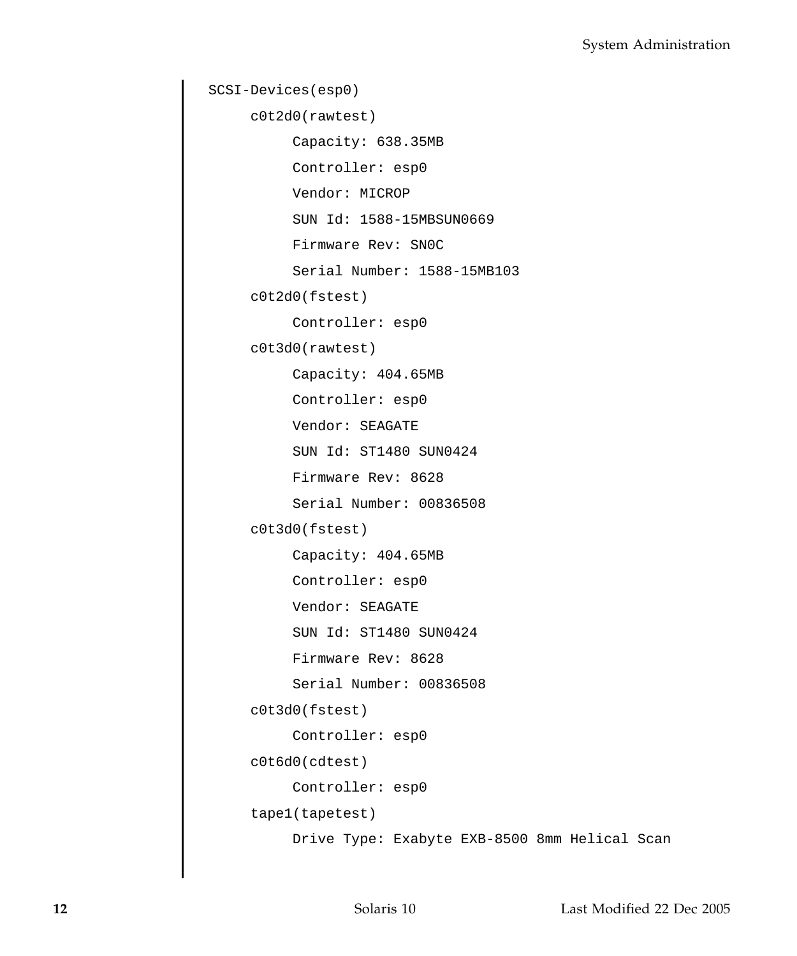```
SCSI-Devices(esp0)
      c0t2d0(rawtest)
           Capacity: 638.35MB
           Controller: esp0
           Vendor: MICROP
           SUN Id: 1588-15MBSUN0669
           Firmware Rev: SN0C
           Serial Number: 1588-15MB103
      c0t2d0(fstest)
           Controller: esp0
      c0t3d0(rawtest)
           Capacity: 404.65MB
           Controller: esp0
           Vendor: SEAGATE
           SUN Id: ST1480 SUN0424
           Firmware Rev: 8628
           Serial Number: 00836508
      c0t3d0(fstest)
           Capacity: 404.65MB
           Controller: esp0
           Vendor: SEAGATE
           SUN Id: ST1480 SUN0424
           Firmware Rev: 8628
           Serial Number: 00836508
      c0t3d0(fstest)
           Controller: esp0
      c0t6d0(cdtest)
           Controller: esp0
      tape1(tapetest)
           Drive Type: Exabyte EXB-8500 8mm Helical Scan
```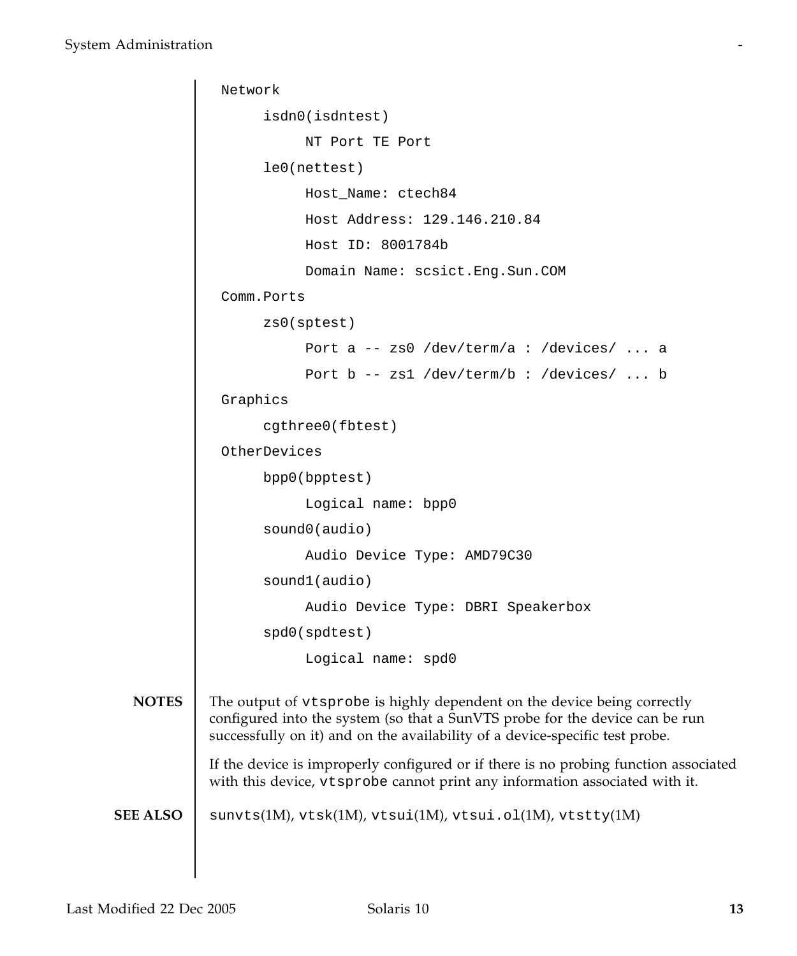```
NOTES The output of vtsprobe is highly dependent on the device being correctly
             configured into the system (so that a SunVTS probe for the device can be run
             successfully on it) and on the availability of a device-specific test probe.
             If the device is improperly configured or if there is no probing function associated
             with this device, vtsprobe cannot print any information associated with it.
SEE ALSO \vert sunvts(1M), vtsk(1M), vtsui(1M), vtsui.ol(1M), vtstty(1M)
              Network
                     isdn0(isdntest)
                           NT Port TE Port
                     le0(nettest)
                           Host_Name: ctech84
                           Host Address: 129.146.210.84
                           Host ID: 8001784b
                           Domain Name: scsict.Eng.Sun.COM
              Comm.Ports
                     zs0(sptest)
                           Port a -- zs0 /dev/term/a : /devices/ ... a
                           Port b -- zs1 /dev/term/b : /devices/ ... b
              Graphics
                     cgthree0(fbtest)
              OtherDevices
                     bpp0(bpptest)
                           Logical name: bpp0
                     sound0(audio)
                           Audio Device Type: AMD79C30
                     sound1(audio)
                           Audio Device Type: DBRI Speakerbox
                     spd0(spdtest)
                           Logical name: spd0
```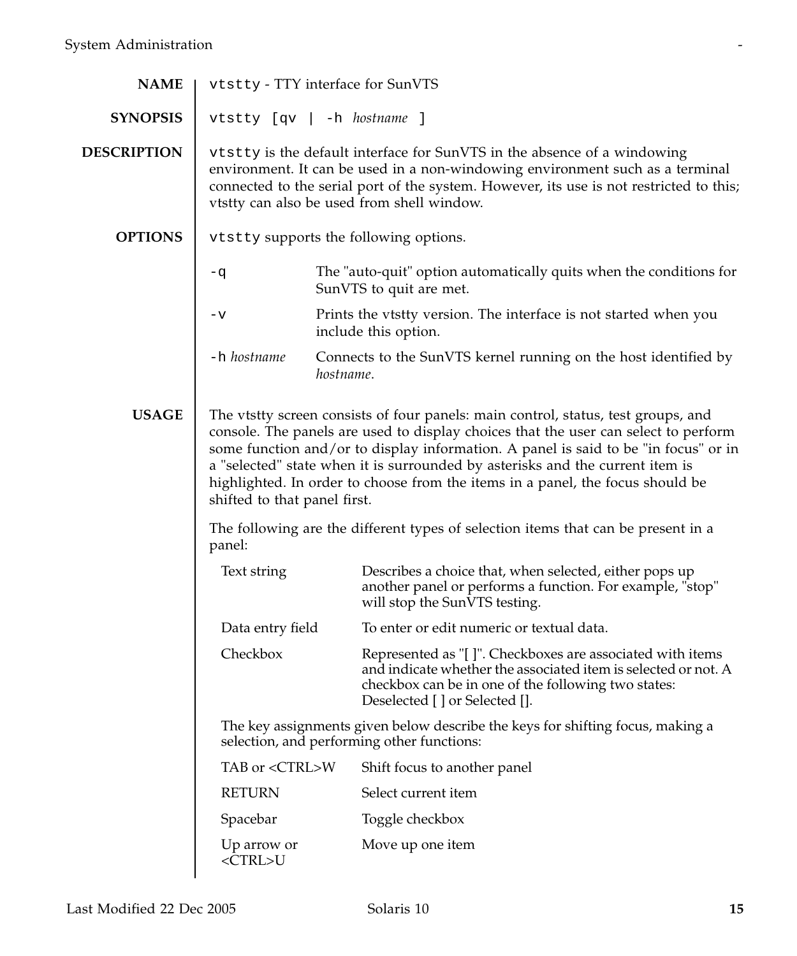| <b>NAME</b>        | vtstty - TTY interface for SunVTS                                                                                                                                                                                                                                                                                                                                                                                                                                  |                                                                                                                                                                                                                     |  |
|--------------------|--------------------------------------------------------------------------------------------------------------------------------------------------------------------------------------------------------------------------------------------------------------------------------------------------------------------------------------------------------------------------------------------------------------------------------------------------------------------|---------------------------------------------------------------------------------------------------------------------------------------------------------------------------------------------------------------------|--|
| <b>SYNOPSIS</b>    | vtstty $[qv]$ -h <i>hostname</i> ]                                                                                                                                                                                                                                                                                                                                                                                                                                 |                                                                                                                                                                                                                     |  |
| <b>DESCRIPTION</b> | vtstty is the default interface for SunVTS in the absence of a windowing<br>environment. It can be used in a non-windowing environment such as a terminal<br>connected to the serial port of the system. However, its use is not restricted to this;<br>vtstty can also be used from shell window.                                                                                                                                                                 |                                                                                                                                                                                                                     |  |
| <b>OPTIONS</b>     | vtstty supports the following options.                                                                                                                                                                                                                                                                                                                                                                                                                             |                                                                                                                                                                                                                     |  |
|                    | -q                                                                                                                                                                                                                                                                                                                                                                                                                                                                 | The "auto-quit" option automatically quits when the conditions for<br>SunVTS to quit are met.                                                                                                                       |  |
|                    | $-\mathbf{v}$                                                                                                                                                                                                                                                                                                                                                                                                                                                      | Prints the vtstty version. The interface is not started when you<br>include this option.                                                                                                                            |  |
|                    | -h hostname                                                                                                                                                                                                                                                                                                                                                                                                                                                        | Connects to the SunVTS kernel running on the host identified by<br>hostname.                                                                                                                                        |  |
| <b>USAGE</b>       | The vtstty screen consists of four panels: main control, status, test groups, and<br>console. The panels are used to display choices that the user can select to perform<br>some function and/or to display information. A panel is said to be "in focus" or in<br>a "selected" state when it is surrounded by asterisks and the current item is<br>highlighted. In order to choose from the items in a panel, the focus should be<br>shifted to that panel first. |                                                                                                                                                                                                                     |  |
|                    | panel:                                                                                                                                                                                                                                                                                                                                                                                                                                                             | The following are the different types of selection items that can be present in a                                                                                                                                   |  |
|                    | Text string                                                                                                                                                                                                                                                                                                                                                                                                                                                        | Describes a choice that, when selected, either pops up<br>another panel or performs a function. For example, "stop"<br>will stop the SunVTS testing.                                                                |  |
|                    | Data entry field                                                                                                                                                                                                                                                                                                                                                                                                                                                   | To enter or edit numeric or textual data.                                                                                                                                                                           |  |
|                    | Checkbox                                                                                                                                                                                                                                                                                                                                                                                                                                                           | Represented as "[]". Checkboxes are associated with items<br>and indicate whether the associated item is selected or not. A<br>checkbox can be in one of the following two states:<br>Deselected [] or Selected []. |  |
|                    | The key assignments given below describe the keys for shifting focus, making a<br>selection, and performing other functions:                                                                                                                                                                                                                                                                                                                                       |                                                                                                                                                                                                                     |  |
|                    | TAB or <ctrl>W</ctrl>                                                                                                                                                                                                                                                                                                                                                                                                                                              | Shift focus to another panel                                                                                                                                                                                        |  |
|                    | <b>RETURN</b>                                                                                                                                                                                                                                                                                                                                                                                                                                                      | Select current item                                                                                                                                                                                                 |  |
|                    | Spacebar                                                                                                                                                                                                                                                                                                                                                                                                                                                           | Toggle checkbox                                                                                                                                                                                                     |  |
|                    | Up arrow or<br><ctrl>U</ctrl>                                                                                                                                                                                                                                                                                                                                                                                                                                      | Move up one item                                                                                                                                                                                                    |  |
|                    |                                                                                                                                                                                                                                                                                                                                                                                                                                                                    |                                                                                                                                                                                                                     |  |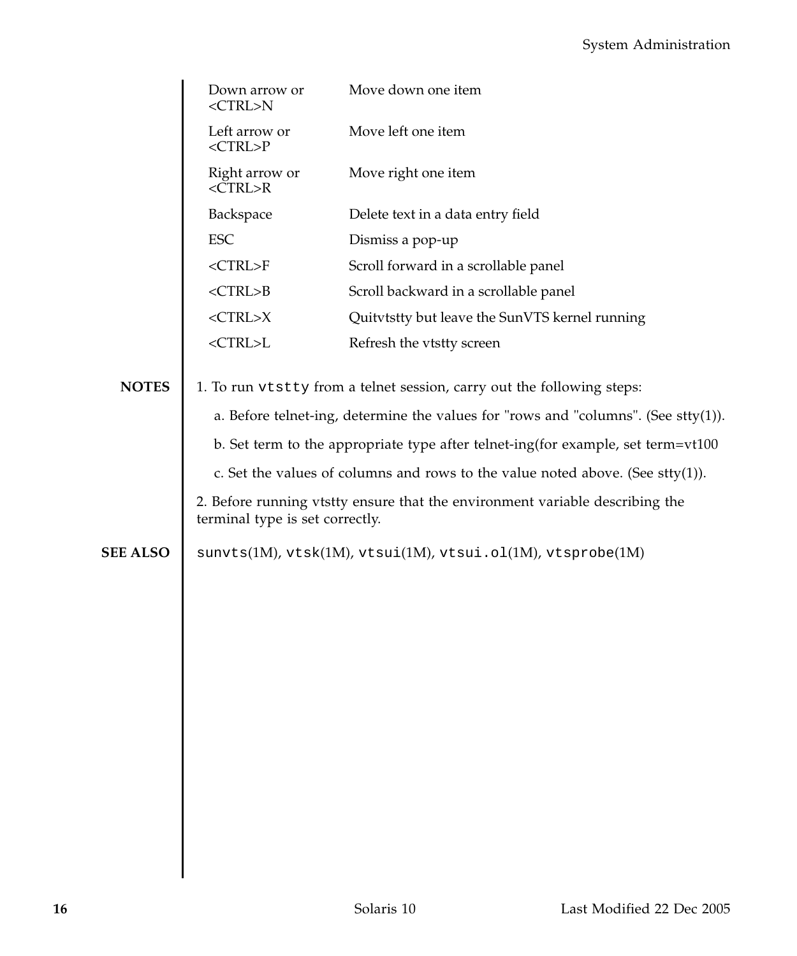|                 | Down arrow or<br><ctrl>N</ctrl>  | Move down one item                                                                 |
|-----------------|----------------------------------|------------------------------------------------------------------------------------|
|                 | Left arrow or<br>$<$ CTRL>P      | Move left one item                                                                 |
|                 | Right arrow or<br><ctrl>R</ctrl> | Move right one item                                                                |
|                 | Backspace                        | Delete text in a data entry field                                                  |
|                 | ESC                              | Dismiss a pop-up                                                                   |
|                 | $<$ CTRL>F                       | Scroll forward in a scrollable panel                                               |
|                 | $<$ CTRL>B                       | Scroll backward in a scrollable panel                                              |
|                 | $<$ CTRL>X                       | Quitvtstty but leave the SunVTS kernel running                                     |
|                 | $<$ CTRL>L                       | Refresh the vtstty screen                                                          |
| <b>NOTES</b>    |                                  | 1. To run vtstty from a telnet session, carry out the following steps:             |
|                 |                                  | a. Before telnet-ing, determine the values for "rows and "columns". (See stty(1)). |
|                 |                                  | b. Set term to the appropriate type after telnet-ing(for example, set term=vt100   |
|                 |                                  | c. Set the values of columns and rows to the value noted above. (See stty $(1)$ ). |
|                 | terminal type is set correctly.  | 2. Before running vtstty ensure that the environment variable describing the       |
| <b>SEE ALSO</b> |                                  | $sunvts(1M)$ , $vtsk(1M)$ , $vtsui(1M)$ , $vtsui.ol(1M)$ , $vtsprobe(1M)$          |
|                 |                                  |                                                                                    |
|                 |                                  |                                                                                    |
|                 |                                  |                                                                                    |
|                 |                                  |                                                                                    |
|                 |                                  |                                                                                    |
|                 |                                  |                                                                                    |
|                 |                                  |                                                                                    |
|                 |                                  |                                                                                    |
|                 |                                  |                                                                                    |
|                 |                                  |                                                                                    |